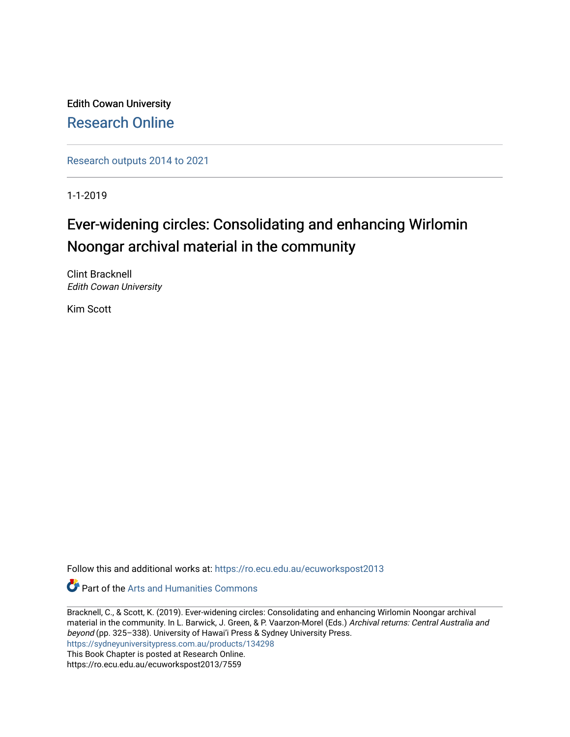Edith Cowan University [Research Online](https://ro.ecu.edu.au/) 

[Research outputs 2014 to 2021](https://ro.ecu.edu.au/ecuworkspost2013) 

1-1-2019

# Ever-widening circles: Consolidating and enhancing Wirlomin Noongar archival material in the community

Clint Bracknell Edith Cowan University

Kim Scott

Follow this and additional works at: [https://ro.ecu.edu.au/ecuworkspost2013](https://ro.ecu.edu.au/ecuworkspost2013?utm_source=ro.ecu.edu.au%2Fecuworkspost2013%2F7559&utm_medium=PDF&utm_campaign=PDFCoverPages) 

*C* Part of the Arts and Humanities Commons

Bracknell, C., & Scott, K. (2019). Ever-widening circles: Consolidating and enhancing Wirlomin Noongar archival material in the community. In L. Barwick, J. Green, & P. Vaarzon-Morel (Eds.) Archival returns: Central Australia and beyond (pp. 325–338). University of Hawai'i Press & Sydney University Press. <https://sydneyuniversitypress.com.au/products/134298> This Book Chapter is posted at Research Online. https://ro.ecu.edu.au/ecuworkspost2013/7559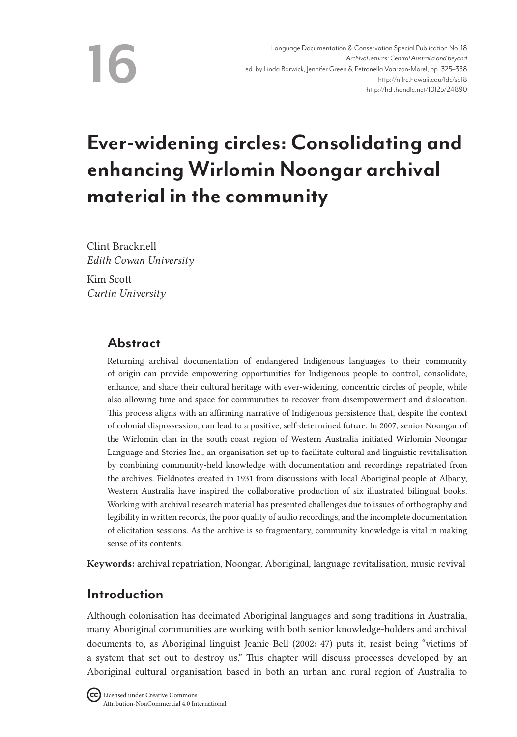**16**

# **Ever-widening circles: Consolidating and enhancing Wirlomin Noongar archival material in the community**

Clint Bracknell *Edith Cowan University* Kim Scott *Curtin University*

# **Abstract**

Returning archival documentation of endangered Indigenous languages to their community of origin can provide empowering opportunities for Indigenous people to control, consolidate, enhance, and share their cultural heritage with ever-widening, concentric circles of people, while also allowing time and space for communities to recover from disempowerment and dislocation. This process aligns with an affirming narrative of Indigenous persistence that, despite the context of colonial dispossession, can lead to a positive, self-determined future. In 2007, senior Noongar of the Wirlomin clan in the south coast region of Western Australia initiated Wirlomin Noongar Language and Stories Inc., an organisation set up to facilitate cultural and linguistic revitalisation by combining community-held knowledge with documentation and recordings repatriated from the archives. Fieldnotes created in 1931 from discussions with local Aboriginal people at Albany, Western Australia have inspired the collaborative production of six illustrated bilingual books. Working with archival research material has presented challenges due to issues of orthography and legibility in written records, the poor quality of audio recordings, and the incomplete documentation of elicitation sessions. As the archive is so fragmentary, community knowledge is vital in making sense of its contents.

Keywords: archival repatriation, Noongar, Aboriginal, language revitalisation, music revival

# **Introduction**

Although colonisation has decimated Aboriginal languages and song traditions in Australia, many Aboriginal communities are working with both senior knowledge-holders and archival documents to, as Aboriginal linguist Jeanie Bell (2002: 47) puts it, resist being "victims of a system that set out to destroy us." This chapter will discuss processes developed by an Aboriginal cultural organisation based in both an urban and rural region of Australia to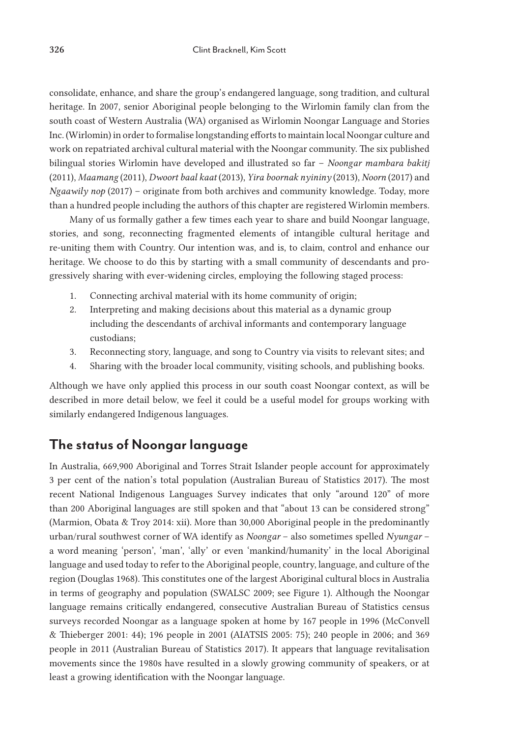consolidate, enhance, and share the group's endangered language, song tradition, and cultural heritage. In 2007, senior Aboriginal people belonging to the Wirlomin family clan from the south coast of Western Australia (WA) organised as Wirlomin Noongar Language and Stories Inc. (Wirlomin) in order to formalise longstanding efforts to maintain local Noongar culture and work on repatriated archival cultural material with the Noongar community. The six published bilingual stories Wirlomin have developed and illustrated so far – *Noongar mambara bakitj* (2011), *Maamang* (2011), *Dwoort baal kaat* (2013), *Yira boornak nyininy* (2013), *Noorn* (2017) and *Ngaawily nop* (2017) – originate from both archives and community knowledge. Today, more than a hundred people including the authors of this chapter are registered Wirlomin members.

Many of us formally gather a few times each year to share and build Noongar language, stories, and song, reconnecting fragmented elements of intangible cultural heritage and re-uniting them with Country. Our intention was, and is, to claim, control and enhance our heritage. We choose to do this by starting with a small community of descendants and progressively sharing with ever-widening circles, employing the following staged process:

- 1. Connecting archival material with its home community of origin;
- 2. Interpreting and making decisions about this material as a dynamic group including the descendants of archival informants and contemporary language custodians;
- 3. Reconnecting story, language, and song to Country via visits to relevant sites; and
- 4. Sharing with the broader local community, visiting schools, and publishing books.

Although we have only applied this process in our south coast Noongar context, as will be described in more detail below, we feel it could be a useful model for groups working with similarly endangered Indigenous languages.

# **The status of Noongar language**

In Australia, 669,900 Aboriginal and Torres Strait Islander people account for approximately 3 per cent of the nation's total population (Australian Bureau of Statistics 2017). The most recent National Indigenous Languages Survey indicates that only "around 120" of more than 200 Aboriginal languages are still spoken and that "about 13 can be considered strong" (Marmion, Obata & Troy 2014: xii). More than 30,000 Aboriginal people in the predominantly urban/rural southwest corner of WA identify as *Noongar* – also sometimes spelled *Nyungar* – a word meaning 'person', 'man', 'ally' or even 'mankind/humanity' in the local Aboriginal language and used today to refer to the Aboriginal people, country, language, and culture of the region (Douglas 1968). This constitutes one of the largest Aboriginal cultural blocs in Australia in terms of geography and population (SWALSC 2009; see Figure 1). Although the Noongar language remains critically endangered, consecutive Australian Bureau of Statistics census surveys recorded Noongar as a language spoken at home by 167 people in 1996 (McConvell & Thieberger 2001: 44); 196 people in 2001 (AIATSIS 2005: 75); 240 people in 2006; and 369 people in 2011 (Australian Bureau of Statistics 2017). It appears that language revitalisation movements since the 1980s have resulted in a slowly growing community of speakers, or at least a growing identification with the Noongar language.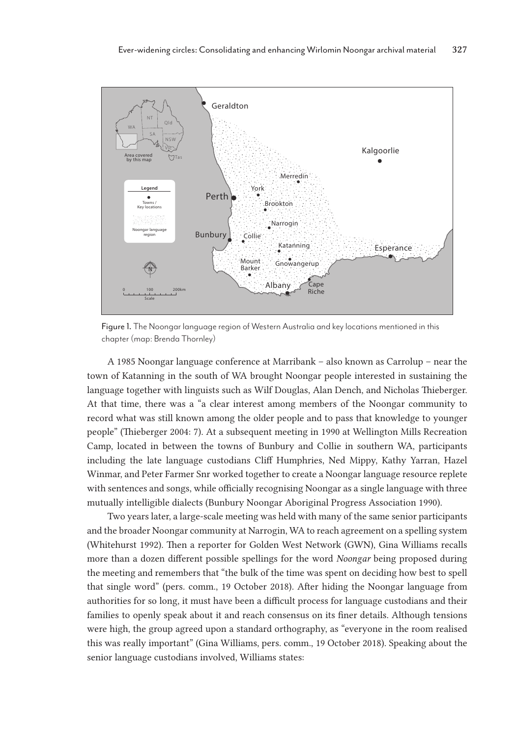

Figure 1. The Noongar language region of Western Australia and key locations mentioned in this chapter (map: Brenda Thornley)

A 1985 Noongar language conference at Marribank – also known as Carrolup – near the town of Katanning in the south of WA brought Noongar people interested in sustaining the language together with linguists such as Wilf Douglas, Alan Dench, and Nicholas Thieberger. At that time, there was a "a clear interest among members of the Noongar community to record what was still known among the older people and to pass that knowledge to younger people" (Thieberger 2004: 7). At a subsequent meeting in 1990 at Wellington Mills Recreation Camp, located in between the towns of Bunbury and Collie in southern WA, participants including the late language custodians Cliff Humphries, Ned Mippy, Kathy Yarran, Hazel Winmar, and Peter Farmer Snr worked together to create a Noongar language resource replete with sentences and songs, while officially recognising Noongar as a single language with three mutually intelligible dialects (Bunbury Noongar Aboriginal Progress Association 1990).

Two years later, a large-scale meeting was held with many of the same senior participants and the broader Noongar community at Narrogin, WA to reach agreement on a spelling system (Whitehurst 1992). Then a reporter for Golden West Network (GWN), Gina Williams recalls more than a dozen different possible spellings for the word *Noongar* being proposed during the meeting and remembers that "the bulk of the time was spent on deciding how best to spell that single word" (pers. comm., 19 October 2018). After hiding the Noongar language from authorities for so long, it must have been a difficult process for language custodians and their families to openly speak about it and reach consensus on its finer details. Although tensions were high, the group agreed upon a standard orthography, as "everyone in the room realised this was really important" (Gina Williams, pers. comm., 19 October 2018). Speaking about the senior language custodians involved, Williams states: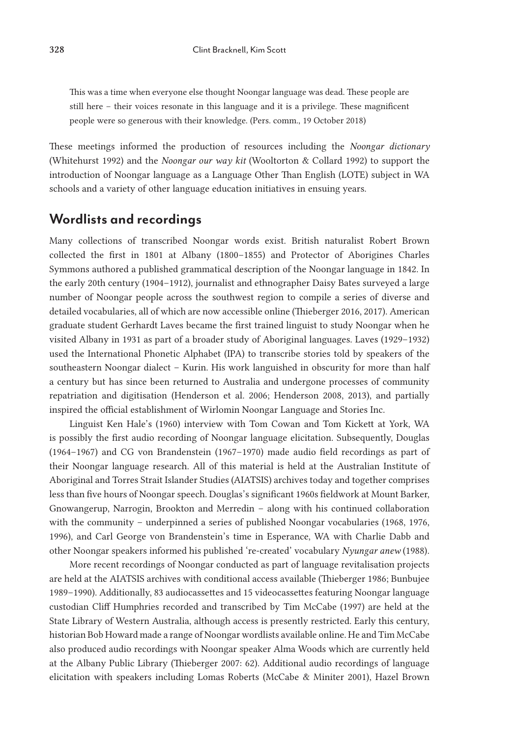This was a time when everyone else thought Noongar language was dead. These people are still here – their voices resonate in this language and it is a privilege. These magnificent people were so generous with their knowledge. (Pers. comm., 19 October 2018)

These meetings informed the production of resources including the *Noongar dictionary* (Whitehurst 1992) and the *Noongar our way kit* (Wooltorton & Collard 1992) to support the introduction of Noongar language as a Language Other Than English (LOTE) subject in WA schools and a variety of other language education initiatives in ensuing years.

### **Wordlists and recordings**

Many collections of transcribed Noongar words exist. British naturalist Robert Brown collected the first in 1801 at Albany (1800–1855) and Protector of Aborigines Charles Symmons authored a published grammatical description of the Noongar language in 1842. In the early 20th century (1904–1912), journalist and ethnographer Daisy Bates surveyed a large number of Noongar people across the southwest region to compile a series of diverse and detailed vocabularies, all of which are now accessible online (Thieberger 2016, 2017). American graduate student Gerhardt Laves became the first trained linguist to study Noongar when he visited Albany in 1931 as part of a broader study of Aboriginal languages. Laves (1929–1932) used the International Phonetic Alphabet (IPA) to transcribe stories told by speakers of the southeastern Noongar dialect – Kurin. His work languished in obscurity for more than half a century but has since been returned to Australia and undergone processes of community repatriation and digitisation (Henderson et al. 2006; Henderson 2008, 2013), and partially inspired the official establishment of Wirlomin Noongar Language and Stories Inc.

Linguist Ken Hale's (1960) interview with Tom Cowan and Tom Kickett at York, WA is possibly the first audio recording of Noongar language elicitation. Subsequently, Douglas (1964–1967) and CG von Brandenstein (1967–1970) made audio field recordings as part of their Noongar language research. All of this material is held at the Australian Institute of Aboriginal and Torres Strait Islander Studies (AIATSIS) archives today and together comprises less than five hours of Noongar speech. Douglas's significant 1960s fieldwork at Mount Barker, Gnowangerup, Narrogin, Brookton and Merredin – along with his continued collaboration with the community – underpinned a series of published Noongar vocabularies (1968, 1976, 1996), and Carl George von Brandenstein's time in Esperance, WA with Charlie Dabb and other Noongar speakers informed his published 're-created' vocabulary *Nyungar anew* (1988).

More recent recordings of Noongar conducted as part of language revitalisation projects are held at the AIATSIS archives with conditional access available (Thieberger 1986; Bunbujee 1989–1990). Additionally, 83 audiocassettes and 15 videocassettes featuring Noongar language custodian Cliff Humphries recorded and transcribed by Tim McCabe (1997) are held at the State Library of Western Australia, although access is presently restricted. Early this century, historian Bob Howard made a range of Noongar wordlists available online. He and Tim McCabe also produced audio recordings with Noongar speaker Alma Woods which are currently held at the Albany Public Library (Thieberger 2007: 62). Additional audio recordings of language elicitation with speakers including Lomas Roberts (McCabe & Miniter 2001), Hazel Brown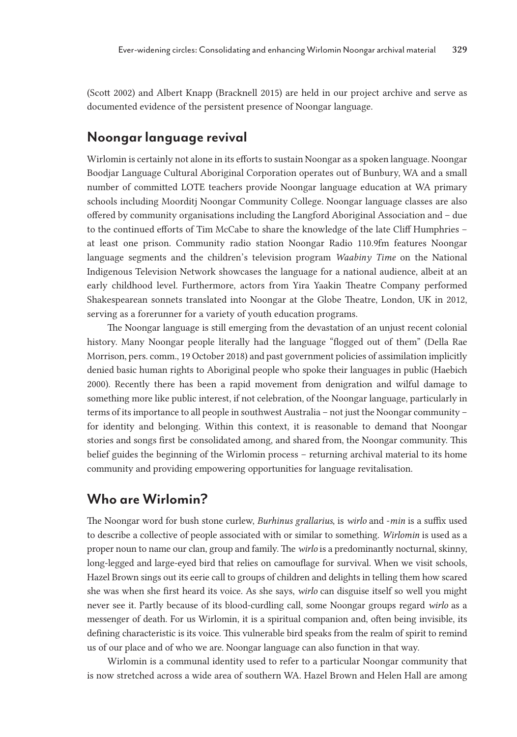(Scott 2002) and Albert Knapp (Bracknell 2015) are held in our project archive and serve as documented evidence of the persistent presence of Noongar language.

## **Noongar language revival**

Wirlomin is certainly not alone in its efforts to sustain Noongar as a spoken language. Noongar Boodjar Language Cultural Aboriginal Corporation operates out of Bunbury, WA and a small number of committed LOTE teachers provide Noongar language education at WA primary schools including Moorditj Noongar Community College. Noongar language classes are also offered by community organisations including the Langford Aboriginal Association and – due to the continued efforts of Tim McCabe to share the knowledge of the late Cliff Humphries – at least one prison. Community radio station Noongar Radio 110.9fm features Noongar language segments and the children's television program *Waabiny Time* on the National Indigenous Television Network showcases the language for a national audience, albeit at an early childhood level. Furthermore, actors from Yira Yaakin Theatre Company performed Shakespearean sonnets translated into Noongar at the Globe Theatre, London, UK in 2012, serving as a forerunner for a variety of youth education programs.

The Noongar language is still emerging from the devastation of an unjust recent colonial history. Many Noongar people literally had the language "flogged out of them" (Della Rae Morrison, pers. comm., 19 October 2018) and past government policies of assimilation implicitly denied basic human rights to Aboriginal people who spoke their languages in public (Haebich 2000). Recently there has been a rapid movement from denigration and wilful damage to something more like public interest, if not celebration, of the Noongar language, particularly in terms of its importance to all people in southwest Australia – not just the Noongar community – for identity and belonging. Within this context, it is reasonable to demand that Noongar stories and songs first be consolidated among, and shared from, the Noongar community. This belief guides the beginning of the Wirlomin process – returning archival material to its home community and providing empowering opportunities for language revitalisation.

# **Who are Wirlomin?**

The Noongar word for bush stone curlew, *Burhinus grallarius*, is *wirlo* and -*min* is a suffix used to describe a collective of people associated with or similar to something. *Wirlomin* is used as a proper noun to name our clan, group and family. The *wirlo* is a predominantly nocturnal, skinny, long-legged and large-eyed bird that relies on camouflage for survival. When we visit schools, Hazel Brown sings out its eerie call to groups of children and delights in telling them how scared she was when she first heard its voice. As she says, *wirlo* can disguise itself so well you might never see it. Partly because of its blood-curdling call, some Noongar groups regard *wirlo* as a messenger of death. For us Wirlomin, it is a spiritual companion and, often being invisible, its defining characteristic is its voice. This vulnerable bird speaks from the realm of spirit to remind us of our place and of who we are. Noongar language can also function in that way.

Wirlomin is a communal identity used to refer to a particular Noongar community that is now stretched across a wide area of southern WA. Hazel Brown and Helen Hall are among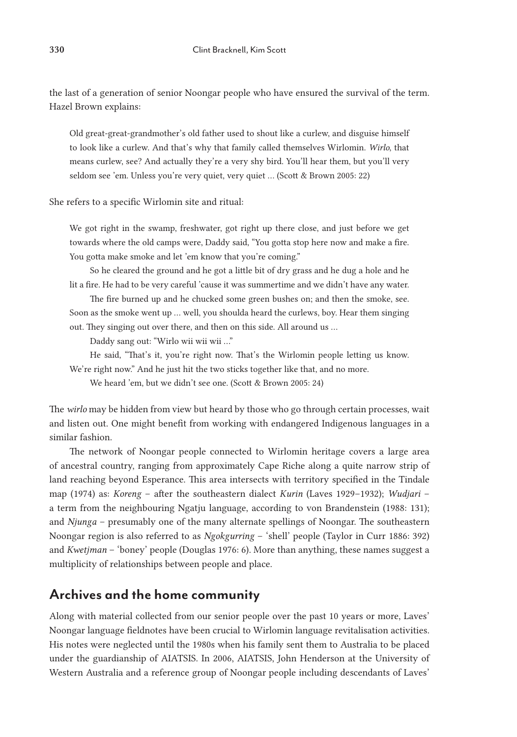the last of a generation of senior Noongar people who have ensured the survival of the term. Hazel Brown explains:

Old great-great-grandmother's old father used to shout like a curlew, and disguise himself to look like a curlew. And that's why that family called themselves Wirlomin. *Wirlo*, that means curlew, see? And actually they're a very shy bird. You'll hear them, but you'll very seldom see 'em. Unless you're very quiet, very quiet … (Scott & Brown 2005: 22)

#### She refers to a specific Wirlomin site and ritual:

We got right in the swamp, freshwater, got right up there close, and just before we get towards where the old camps were, Daddy said, "You gotta stop here now and make a fire. You gotta make smoke and let 'em know that you're coming."

So he cleared the ground and he got a little bit of dry grass and he dug a hole and he lit a fire. He had to be very careful 'cause it was summertime and we didn't have any water.

The fire burned up and he chucked some green bushes on; and then the smoke, see. Soon as the smoke went up … well, you shoulda heard the curlews, boy. Hear them singing out. They singing out over there, and then on this side. All around us …

Daddy sang out: "Wirlo wii wii wii …"

He said, "That's it, you're right now. That's the Wirlomin people letting us know.

We're right now." And he just hit the two sticks together like that, and no more.

We heard 'em, but we didn't see one. (Scott & Brown 2005: 24)

The *wirlo* may be hidden from view but heard by those who go through certain processes, wait and listen out. One might benefit from working with endangered Indigenous languages in a similar fashion.

The network of Noongar people connected to Wirlomin heritage covers a large area of ancestral country, ranging from approximately Cape Riche along a quite narrow strip of land reaching beyond Esperance. This area intersects with territory specified in the Tindale map (1974) as: *Koreng* – after the southeastern dialect *Kurin* (Laves 1929–1932); *Wudjari* – a term from the neighbouring Ngatju language, according to von Brandenstein (1988: 131); and *Njunga* – presumably one of the many alternate spellings of Noongar. The southeastern Noongar region is also referred to as *Ngokgurring* – 'shell' people (Taylor in Curr 1886: 392) and *Kwetjman* – 'boney' people (Douglas 1976: 6). More than anything, these names suggest a multiplicity of relationships between people and place.

# **Archives and the home community**

Along with material collected from our senior people over the past 10 years or more, Laves' Noongar language fieldnotes have been crucial to Wirlomin language revitalisation activities. His notes were neglected until the 1980s when his family sent them to Australia to be placed under the guardianship of AIATSIS. In 2006, AIATSIS, John Henderson at the University of Western Australia and a reference group of Noongar people including descendants of Laves'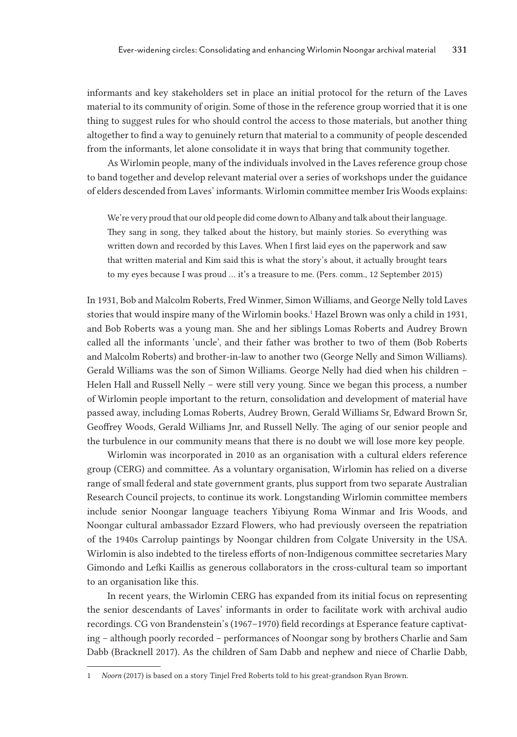informants and key stakeholders set in place an initial protocol for the return of the Laves material to its community of origin. Some of those in the reference group worried that it is one thing to suggest rules for who should control the access to those materials, but another thing altogether to find a way to genuinely return that material to a community of people descended from the informants, let alone consolidate it in ways that bring that community together.

As Wirlomin people, many of the individuals involved in the Laves reference group chose to band together and develop relevant material over a series of workshops under the guidance of elders descended from Laves' informants. Wirlomin committee member Iris Woods explains:

We're very proud that our old people did come down to Albany and talk about their language. They sang in song, they talked about the history, but mainly stories. So everything was written down and recorded by this Laves. When I first laid eyes on the paperwork and saw that written material and Kim said this is what the story's about, it actually brought tears to my eyes because I was proud … it's a treasure to me. (Pers. comm., 12 September 2015)

In 1931, Bob and Malcolm Roberts, Fred Winmer, Simon Williams, and George Nelly told Laves stories that would inspire many of the Wirlomin books.<sup>1</sup> Hazel Brown was only a child in 1931, and Bob Roberts was a young man. She and her siblings Lomas Roberts and Audrey Brown called all the informants 'uncle', and their father was brother to two of them (Bob Roberts and Malcolm Roberts) and brother-in-law to another two (George Nelly and Simon Williams). Gerald Williams was the son of Simon Williams. George Nelly had died when his children – Helen Hall and Russell Nelly – were still very young. Since we began this process, a number of Wirlomin people important to the return, consolidation and development of material have passed away, including Lomas Roberts, Audrey Brown, Gerald Williams Sr, Edward Brown Sr, Geoffrey Woods, Gerald Williams Jnr, and Russell Nelly. The aging of our senior people and the turbulence in our community means that there is no doubt we will lose more key people.

Wirlomin was incorporated in 2010 as an organisation with a cultural elders reference group (CERG) and committee. As a voluntary organisation, Wirlomin has relied on a diverse range of small federal and state government grants, plus support from two separate Australian Research Council projects, to continue its work. Longstanding Wirlomin committee members include senior Noongar language teachers Yibiyung Roma Winmar and Iris Woods, and Noongar cultural ambassador Ezzard Flowers, who had previously overseen the repatriation of the 1940s Carrolup paintings by Noongar children from Colgate University in the USA. Wirlomin is also indebted to the tireless efforts of non-Indigenous committee secretaries Mary Gimondo and Lefki Kaillis as generous collaborators in the cross-cultural team so important to an organisation like this.

In recent years, the Wirlomin CERG has expanded from its initial focus on representing the senior descendants of Laves' informants in order to facilitate work with archival audio recordings. CG von Brandenstein's (1967–1970) field recordings at Esperance feature captivating – although poorly recorded – performances of Noongar song by brothers Charlie and Sam Dabb (Bracknell 2017). As the children of Sam Dabb and nephew and niece of Charlie Dabb,

<sup>1</sup> *Noorn* (2017) is based on a story Tinjel Fred Roberts told to his great-grandson Ryan Brown.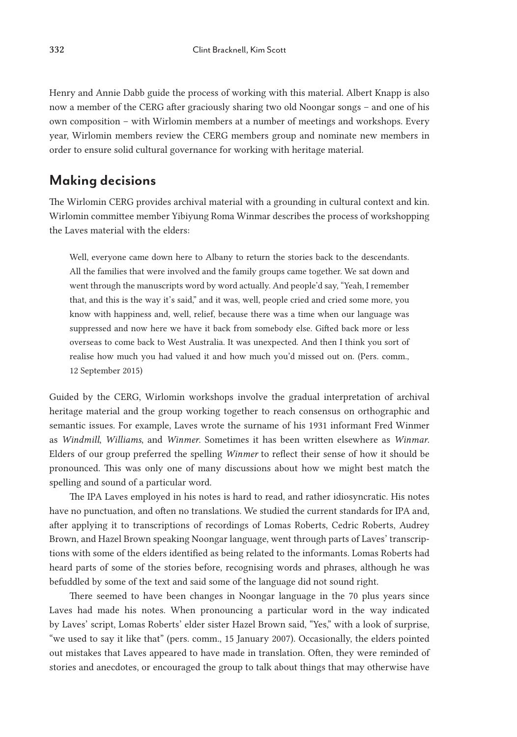Henry and Annie Dabb guide the process of working with this material. Albert Knapp is also now a member of the CERG after graciously sharing two old Noongar songs – and one of his own composition – with Wirlomin members at a number of meetings and workshops. Every year, Wirlomin members review the CERG members group and nominate new members in order to ensure solid cultural governance for working with heritage material.

## **Making decisions**

The Wirlomin CERG provides archival material with a grounding in cultural context and kin. Wirlomin committee member Yibiyung Roma Winmar describes the process of workshopping the Laves material with the elders:

Well, everyone came down here to Albany to return the stories back to the descendants. All the families that were involved and the family groups came together. We sat down and went through the manuscripts word by word actually. And people'd say, "Yeah, I remember that, and this is the way it's said," and it was, well, people cried and cried some more, you know with happiness and, well, relief, because there was a time when our language was suppressed and now here we have it back from somebody else. Gifted back more or less overseas to come back to West Australia. It was unexpected. And then I think you sort of realise how much you had valued it and how much you'd missed out on. (Pers. comm., 12 September 2015)

Guided by the CERG, Wirlomin workshops involve the gradual interpretation of archival heritage material and the group working together to reach consensus on orthographic and semantic issues. For example, Laves wrote the surname of his 1931 informant Fred Winmer as *Windmill*, *Williams*, and *Winmer*. Sometimes it has been written elsewhere as *Winmar*. Elders of our group preferred the spelling *Winmer* to reflect their sense of how it should be pronounced. This was only one of many discussions about how we might best match the spelling and sound of a particular word.

The IPA Laves employed in his notes is hard to read, and rather idiosyncratic. His notes have no punctuation, and often no translations. We studied the current standards for IPA and, after applying it to transcriptions of recordings of Lomas Roberts, Cedric Roberts, Audrey Brown, and Hazel Brown speaking Noongar language, went through parts of Laves' transcriptions with some of the elders identified as being related to the informants. Lomas Roberts had heard parts of some of the stories before, recognising words and phrases, although he was befuddled by some of the text and said some of the language did not sound right.

There seemed to have been changes in Noongar language in the 70 plus years since Laves had made his notes. When pronouncing a particular word in the way indicated by Laves' script, Lomas Roberts' elder sister Hazel Brown said, "Yes," with a look of surprise, "we used to say it like that" (pers. comm., 15 January 2007). Occasionally, the elders pointed out mistakes that Laves appeared to have made in translation. Often, they were reminded of stories and anecdotes, or encouraged the group to talk about things that may otherwise have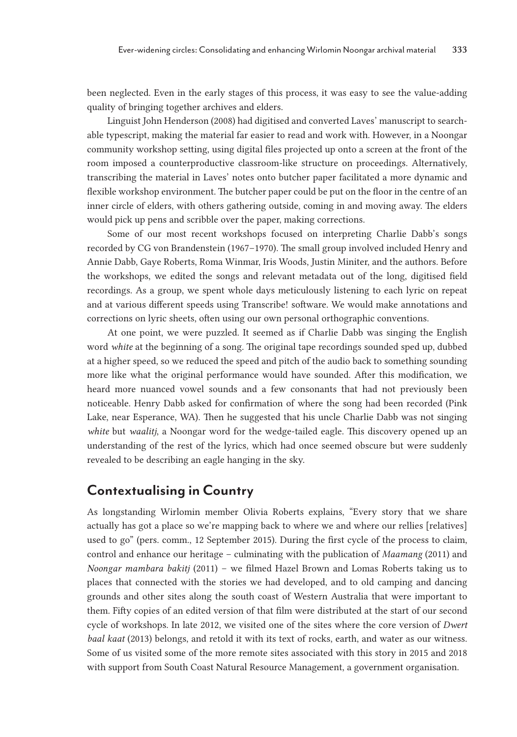been neglected. Even in the early stages of this process, it was easy to see the value-adding quality of bringing together archives and elders.

Linguist John Henderson (2008) had digitised and converted Laves' manuscript to searchable typescript, making the material far easier to read and work with. However, in a Noongar community workshop setting, using digital files projected up onto a screen at the front of the room imposed a counterproductive classroom-like structure on proceedings. Alternatively, transcribing the material in Laves' notes onto butcher paper facilitated a more dynamic and flexible workshop environment. The butcher paper could be put on the floor in the centre of an inner circle of elders, with others gathering outside, coming in and moving away. The elders would pick up pens and scribble over the paper, making corrections.

Some of our most recent workshops focused on interpreting Charlie Dabb's songs recorded by CG von Brandenstein (1967–1970). The small group involved included Henry and Annie Dabb, Gaye Roberts, Roma Winmar, Iris Woods, Justin Miniter, and the authors. Before the workshops, we edited the songs and relevant metadata out of the long, digitised field recordings. As a group, we spent whole days meticulously listening to each lyric on repeat and at various different speeds using Transcribe! software. We would make annotations and corrections on lyric sheets, often using our own personal orthographic conventions.

At one point, we were puzzled. It seemed as if Charlie Dabb was singing the English word *white* at the beginning of a song. The original tape recordings sounded sped up, dubbed at a higher speed, so we reduced the speed and pitch of the audio back to something sounding more like what the original performance would have sounded. After this modification, we heard more nuanced vowel sounds and a few consonants that had not previously been noticeable. Henry Dabb asked for confirmation of where the song had been recorded (Pink Lake, near Esperance, WA). Then he suggested that his uncle Charlie Dabb was not singing *white* but *waalitj*, a Noongar word for the wedge-tailed eagle. This discovery opened up an understanding of the rest of the lyrics, which had once seemed obscure but were suddenly revealed to be describing an eagle hanging in the sky.

# **Contextualising in Country**

As longstanding Wirlomin member Olivia Roberts explains, "Every story that we share actually has got a place so we're mapping back to where we and where our rellies [relatives] used to go" (pers. comm., 12 September 2015). During the first cycle of the process to claim, control and enhance our heritage – culminating with the publication of *Maamang* (2011) and *Noongar mambara bakitj* (2011) – we filmed Hazel Brown and Lomas Roberts taking us to places that connected with the stories we had developed, and to old camping and dancing grounds and other sites along the south coast of Western Australia that were important to them. Fifty copies of an edited version of that film were distributed at the start of our second cycle of workshops. In late 2012, we visited one of the sites where the core version of *Dwert baal kaat* (2013) belongs, and retold it with its text of rocks, earth, and water as our witness. Some of us visited some of the more remote sites associated with this story in 2015 and 2018 with support from South Coast Natural Resource Management, a government organisation.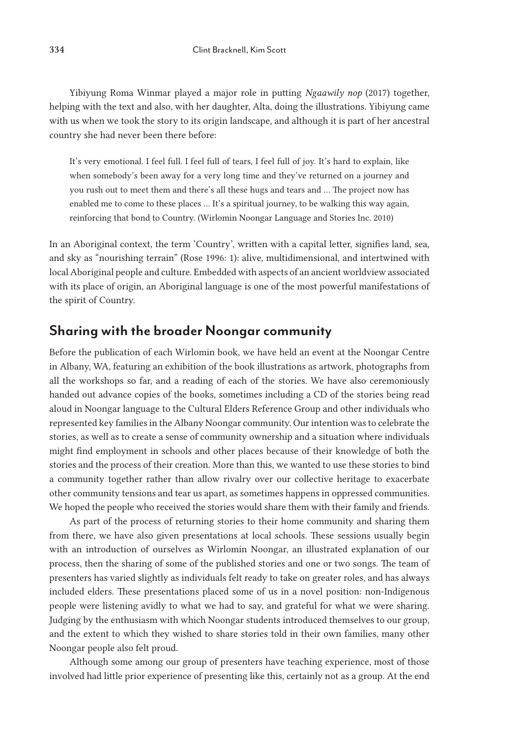Yibiyung Roma Winmar played a major role in putting *Ngaawily nop* (2017) together, helping with the text and also, with her daughter, Alta, doing the illustrations. Yibiyung came with us when we took the story to its origin landscape, and although it is part of her ancestral country she had never been there before:

It's very emotional. I feel full. I feel full of tears, I feel full of joy. It's hard to explain, like when somebody's been away for a very long time and they've returned on a journey and you rush out to meet them and there's all these hugs and tears and … The project now has enabled me to come to these places … It's a spiritual journey, to be walking this way again, reinforcing that bond to Country. (Wirlomin Noongar Language and Stories Inc. 2010)

In an Aboriginal context, the term 'Country', written with a capital letter, signifies land, sea, and sky as "nourishing terrain" (Rose 1996: 1): alive, multidimensional, and intertwined with local Aboriginal people and culture. Embedded with aspects of an ancient worldview associated with its place of origin, an Aboriginal language is one of the most powerful manifestations of the spirit of Country.

### **Sharing with the broader Noongar community**

Before the publication of each Wirlomin book, we have held an event at the Noongar Centre in Albany, WA, featuring an exhibition of the book illustrations as artwork, photographs from all the workshops so far, and a reading of each of the stories. We have also ceremoniously handed out advance copies of the books, sometimes including a CD of the stories being read aloud in Noongar language to the Cultural Elders Reference Group and other individuals who represented key families in the Albany Noongar community. Our intention was to celebrate the stories, as well as to create a sense of community ownership and a situation where individuals might find employment in schools and other places because of their knowledge of both the stories and the process of their creation. More than this, we wanted to use these stories to bind a community together rather than allow rivalry over our collective heritage to exacerbate other community tensions and tear us apart, as sometimes happens in oppressed communities. We hoped the people who received the stories would share them with their family and friends.

As part of the process of returning stories to their home community and sharing them from there, we have also given presentations at local schools. These sessions usually begin with an introduction of ourselves as Wirlomin Noongar, an illustrated explanation of our process, then the sharing of some of the published stories and one or two songs. The team of presenters has varied slightly as individuals felt ready to take on greater roles, and has always included elders. These presentations placed some of us in a novel position: non-Indigenous people were listening avidly to what we had to say, and grateful for what we were sharing. Judging by the enthusiasm with which Noongar students introduced themselves to our group, and the extent to which they wished to share stories told in their own families, many other Noongar people also felt proud.

Although some among our group of presenters have teaching experience, most of those involved had little prior experience of presenting like this, certainly not as a group. At the end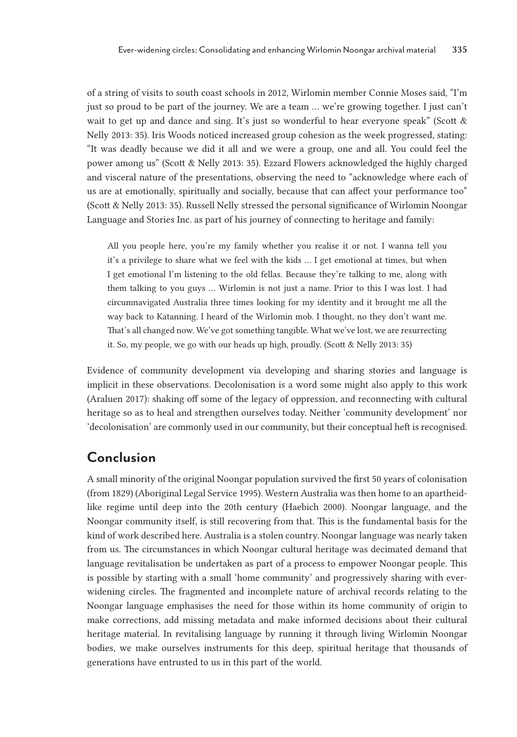of a string of visits to south coast schools in 2012, Wirlomin member Connie Moses said, "I'm just so proud to be part of the journey. We are a team … we're growing together. I just can't wait to get up and dance and sing. It's just so wonderful to hear everyone speak" (Scott & Nelly 2013: 35). Iris Woods noticed increased group cohesion as the week progressed, stating: "It was deadly because we did it all and we were a group, one and all. You could feel the power among us" (Scott & Nelly 2013: 35). Ezzard Flowers acknowledged the highly charged and visceral nature of the presentations, observing the need to "acknowledge where each of us are at emotionally, spiritually and socially, because that can affect your performance too" (Scott & Nelly 2013: 35). Russell Nelly stressed the personal significance of Wirlomin Noongar Language and Stories Inc. as part of his journey of connecting to heritage and family:

All you people here, you're my family whether you realise it or not. I wanna tell you it's a privilege to share what we feel with the kids … I get emotional at times, but when I get emotional I'm listening to the old fellas. Because they're talking to me, along with them talking to you guys … Wirlomin is not just a name. Prior to this I was lost. I had circumnavigated Australia three times looking for my identity and it brought me all the way back to Katanning. I heard of the Wirlomin mob. I thought, no they don't want me. That's all changed now. We've got something tangible. What we've lost, we are resurrecting it. So, my people, we go with our heads up high, proudly. (Scott & Nelly 2013: 35)

Evidence of community development via developing and sharing stories and language is implicit in these observations. Decolonisation is a word some might also apply to this work (Araluen 2017): shaking off some of the legacy of oppression, and reconnecting with cultural heritage so as to heal and strengthen ourselves today. Neither 'community development' nor 'decolonisation' are commonly used in our community, but their conceptual heft is recognised.

# **Conclusion**

A small minority of the original Noongar population survived the first 50 years of colonisation (from 1829) (Aboriginal Legal Service 1995). Western Australia was then home to an apartheidlike regime until deep into the 20th century (Haebich 2000). Noongar language, and the Noongar community itself, is still recovering from that. This is the fundamental basis for the kind of work described here. Australia is a stolen country. Noongar language was nearly taken from us. The circumstances in which Noongar cultural heritage was decimated demand that language revitalisation be undertaken as part of a process to empower Noongar people. This is possible by starting with a small 'home community' and progressively sharing with everwidening circles. The fragmented and incomplete nature of archival records relating to the Noongar language emphasises the need for those within its home community of origin to make corrections, add missing metadata and make informed decisions about their cultural heritage material. In revitalising language by running it through living Wirlomin Noongar bodies, we make ourselves instruments for this deep, spiritual heritage that thousands of generations have entrusted to us in this part of the world.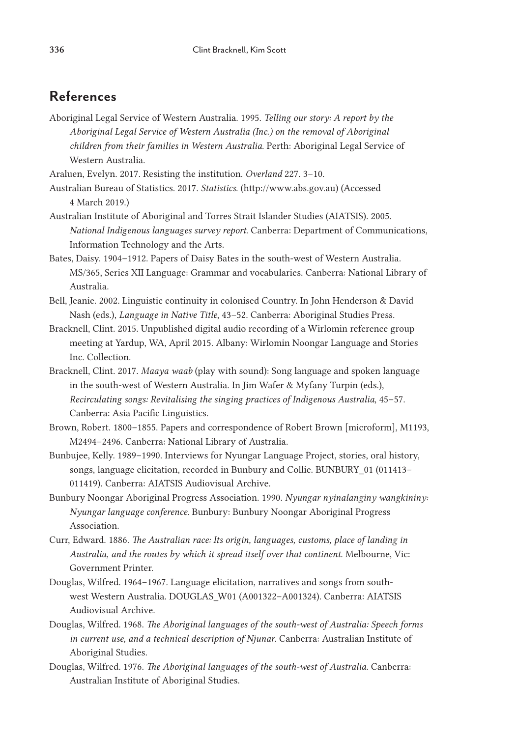# **References**

Aboriginal Legal Service of Western Australia. 1995. *Telling our story: A report by the Aboriginal Legal Service of Western Australia (Inc.) on the removal of Aboriginal children from their families in Western Australia*. Perth: Aboriginal Legal Service of Western Australia.

Araluen, Evelyn. 2017. Resisting the institution. *Overland* 227. 3–10.

Australian Bureau of Statistics. 2017. *Statistics*. (http://www.abs.gov.au) (Accessed 4 March 2019.)

- Australian Institute of Aboriginal and Torres Strait Islander Studies (AIATSIS). 2005. *National Indigenous languages survey report*. Canberra: Department of Communications, Information Technology and the Arts.
- Bates, Daisy. 1904–1912. Papers of Daisy Bates in the south-west of Western Australia. MS/365, Series XII Language: Grammar and vocabularies. Canberra: National Library of Australia.
- Bell, Jeanie. 2002. Linguistic continuity in colonised Country. In John Henderson & David Nash (eds.), *Language in Native Title*, 43–52. Canberra: Aboriginal Studies Press.
- Bracknell, Clint. 2015. Unpublished digital audio recording of a Wirlomin reference group meeting at Yardup, WA, April 2015. Albany: Wirlomin Noongar Language and Stories Inc. Collection.
- Bracknell, Clint. 2017. *Maaya waab* (play with sound): Song language and spoken language in the south-west of Western Australia. In Jim Wafer & Myfany Turpin (eds.), *Recirculating songs: Revitalising the singing practices of Indigenous Australia*, 45–57. Canberra: Asia Pacific Linguistics.
- Brown, Robert. 1800–1855. Papers and correspondence of Robert Brown [microform], M1193, M2494–2496. Canberra: National Library of Australia.
- Bunbujee, Kelly. 1989–1990. Interviews for Nyungar Language Project, stories, oral history, songs, language elicitation, recorded in Bunbury and Collie. BUNBURY\_01 (011413– 011419). Canberra: AIATSIS Audiovisual Archive.
- Bunbury Noongar Aboriginal Progress Association. 1990. *Nyungar nyinalanginy wangkininy: Nyungar language conference*. Bunbury: Bunbury Noongar Aboriginal Progress Association.
- Curr, Edward. 1886. *The Australian race: Its origin, languages, customs, place of landing in Australia, and the routes by which it spread itself over that continent*. Melbourne, Vic: Government Printer.
- Douglas, Wilfred. 1964–1967. Language elicitation, narratives and songs from southwest Western Australia. DOUGLAS\_W01 (A001322–A001324). Canberra: AIATSIS Audiovisual Archive.
- Douglas, Wilfred. 1968. *The Aboriginal languages of the south-west of Australia: Speech forms in current use, and a technical description of Njunar*. Canberra: Australian Institute of Aboriginal Studies.
- Douglas, Wilfred. 1976. *The Aboriginal languages of the south-west of Australia*. Canberra: Australian Institute of Aboriginal Studies.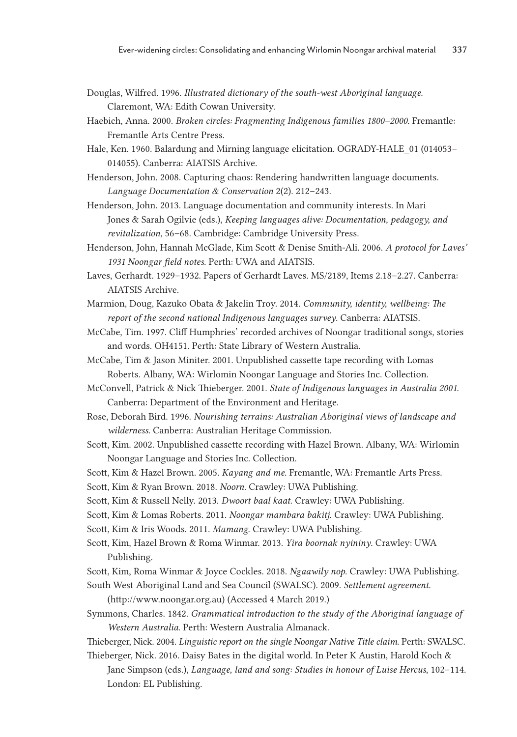- Douglas, Wilfred. 1996. *Illustrated dictionary of the south-west Aboriginal language*. Claremont, WA: Edith Cowan University.
- Haebich, Anna. 2000. *Broken circles: Fragmenting Indigenous families 1800–2000*. Fremantle: Fremantle Arts Centre Press.
- Hale, Ken. 1960. Balardung and Mirning language elicitation. OGRADY-HALE\_01 (014053– 014055). Canberra: AIATSIS Archive.
- Henderson, John. 2008. Capturing chaos: Rendering handwritten language documents. *Language Documentation & Conservation* 2(2). 212–243.
- Henderson, John. 2013. Language documentation and community interests. In Mari Jones & Sarah Ogilvie (eds.), *Keeping languages alive: Documentation, pedagogy, and revitalization*, 56–68. Cambridge: Cambridge University Press.
- Henderson, John, Hannah McGlade, Kim Scott & Denise Smith-Ali. 2006. *A protocol for Laves' 1931 Noongar field notes*. Perth: UWA and AIATSIS.
- Laves, Gerhardt. 1929–1932. Papers of Gerhardt Laves. MS/2189, Items 2.18–2.27. Canberra: AIATSIS Archive.
- Marmion, Doug, Kazuko Obata & Jakelin Troy. 2014. *Community, identity, wellbeing: The report of the second national Indigenous languages survey*. Canberra: AIATSIS.
- McCabe, Tim. 1997. Cliff Humphries' recorded archives of Noongar traditional songs, stories and words. OH4151. Perth: State Library of Western Australia.
- McCabe, Tim & Jason Miniter. 2001. Unpublished cassette tape recording with Lomas Roberts. Albany, WA: Wirlomin Noongar Language and Stories Inc. Collection.
- McConvell, Patrick & Nick Thieberger. 2001. *State of Indigenous languages in Australia 2001*. Canberra: Department of the Environment and Heritage.
- Rose, Deborah Bird. 1996. *Nourishing terrains: Australian Aboriginal views of landscape and wilderness*. Canberra: Australian Heritage Commission.
- Scott, Kim. 2002. Unpublished cassette recording with Hazel Brown. Albany, WA: Wirlomin Noongar Language and Stories Inc. Collection.
- Scott, Kim & Hazel Brown. 2005. *Kayang and me*. Fremantle, WA: Fremantle Arts Press.
- Scott, Kim & Ryan Brown. 2018. *Noorn*. Crawley: UWA Publishing.
- Scott, Kim & Russell Nelly. 2013. *Dwoort baal kaat*. Crawley: UWA Publishing.
- Scott, Kim & Lomas Roberts. 2011. *Noongar mambara bakitj*. Crawley: UWA Publishing.
- Scott, Kim & Iris Woods. 2011. *Mamang*. Crawley: UWA Publishing.
- Scott, Kim, Hazel Brown & Roma Winmar. 2013. *Yira boornak nyininy*. Crawley: UWA Publishing.
- Scott, Kim, Roma Winmar & Joyce Cockles. 2018. *Ngaawily nop*. Crawley: UWA Publishing.
- South West Aboriginal Land and Sea Council (SWALSC). 2009. *Settlement agreement*.

(http://www.noongar.org.au) (Accessed 4 March 2019.)

- Symmons, Charles. 1842. *Grammatical introduction to the study of the Aboriginal language of Western Australia*. Perth: Western Australia Almanack.
- Thieberger, Nick. 2004. *Linguistic report on the single Noongar Native Title claim*. Perth: SWALSC. Thieberger, Nick. 2016. Daisy Bates in the digital world. In Peter K Austin, Harold Koch &
	- Jane Simpson (eds.), *Language, land and song: Studies in honour of Luise Hercus*, 102–114. London: EL Publishing.